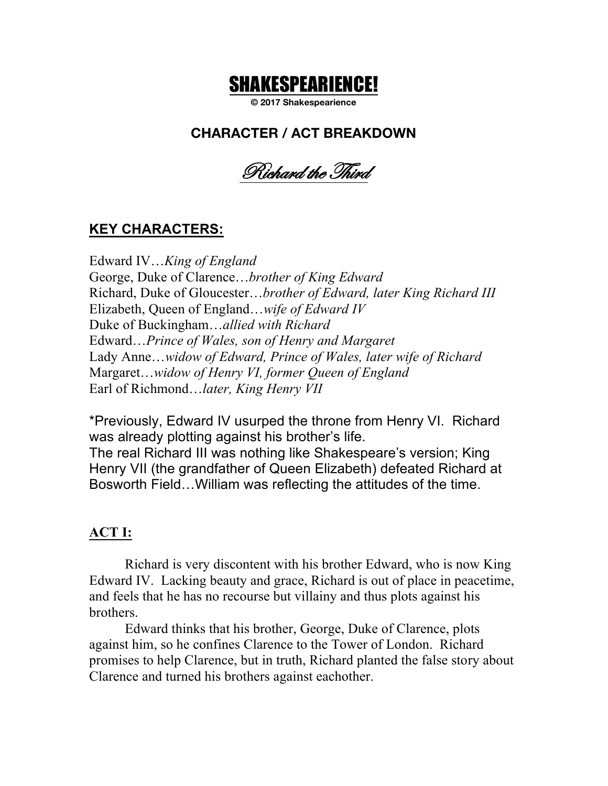

**© 2017 Shakespearience**

## **CHARACTER / ACT BREAKDOWN**

Richard the Third

# **KEY CHARACTERS:**

Edward IV…*King of England* George, Duke of Clarence…*brother of King Edward* Richard, Duke of Gloucester…*brother of Edward, later King Richard III* Elizabeth, Queen of England…*wife of Edward IV* Duke of Buckingham…*allied with Richard* Edward…*Prince of Wales, son of Henry and Margaret* Lady Anne…*widow of Edward, Prince of Wales, later wife of Richard* Margaret…*widow of Henry VI, former Queen of England* Earl of Richmond…*later, King Henry VII*

\*Previously, Edward IV usurped the throne from Henry VI. Richard was already plotting against his brother's life. The real Richard III was nothing like Shakespeare's version; King Henry VII (the grandfather of Queen Elizabeth) defeated Richard at Bosworth Field…William was reflecting the attitudes of the time.

## **ACT I:**

Richard is very discontent with his brother Edward, who is now King Edward IV. Lacking beauty and grace, Richard is out of place in peacetime, and feels that he has no recourse but villainy and thus plots against his brothers.

Edward thinks that his brother, George, Duke of Clarence, plots against him, so he confines Clarence to the Tower of London. Richard promises to help Clarence, but in truth, Richard planted the false story about Clarence and turned his brothers against eachother.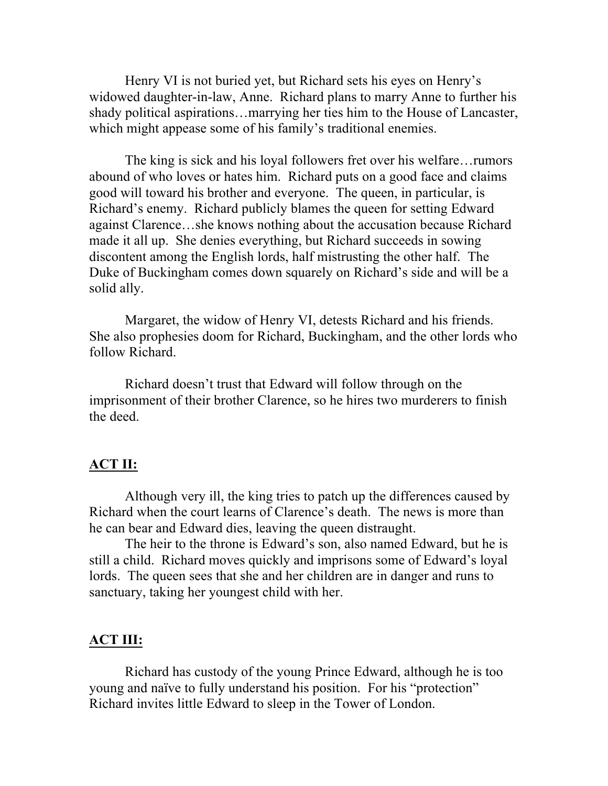Henry VI is not buried yet, but Richard sets his eyes on Henry's widowed daughter-in-law, Anne. Richard plans to marry Anne to further his shady political aspirations…marrying her ties him to the House of Lancaster, which might appease some of his family's traditional enemies.

The king is sick and his loyal followers fret over his welfare…rumors abound of who loves or hates him. Richard puts on a good face and claims good will toward his brother and everyone. The queen, in particular, is Richard's enemy. Richard publicly blames the queen for setting Edward against Clarence…she knows nothing about the accusation because Richard made it all up. She denies everything, but Richard succeeds in sowing discontent among the English lords, half mistrusting the other half. The Duke of Buckingham comes down squarely on Richard's side and will be a solid ally.

Margaret, the widow of Henry VI, detests Richard and his friends. She also prophesies doom for Richard, Buckingham, and the other lords who follow Richard.

Richard doesn't trust that Edward will follow through on the imprisonment of their brother Clarence, so he hires two murderers to finish the deed.

## **ACT II:**

Although very ill, the king tries to patch up the differences caused by Richard when the court learns of Clarence's death. The news is more than he can bear and Edward dies, leaving the queen distraught.

The heir to the throne is Edward's son, also named Edward, but he is still a child. Richard moves quickly and imprisons some of Edward's loyal lords. The queen sees that she and her children are in danger and runs to sanctuary, taking her youngest child with her.

## **ACT III:**

Richard has custody of the young Prince Edward, although he is too young and naïve to fully understand his position. For his "protection" Richard invites little Edward to sleep in the Tower of London.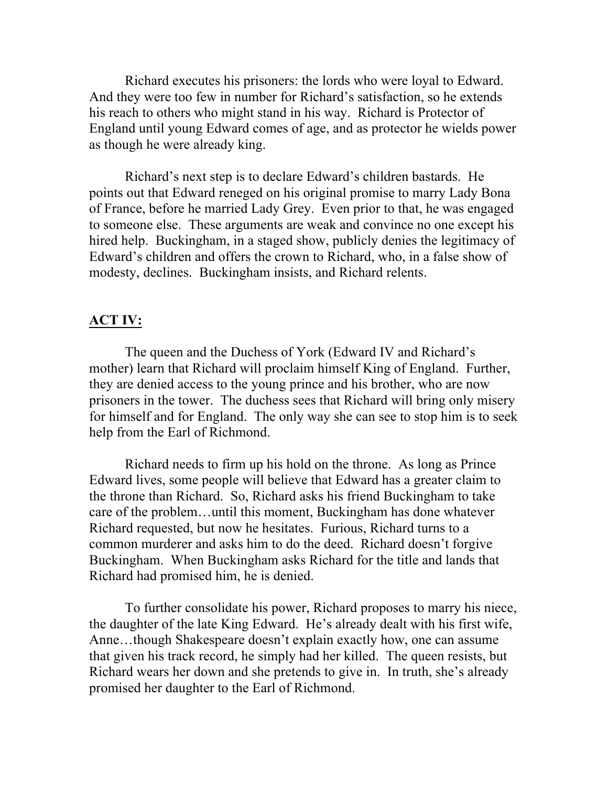Richard executes his prisoners: the lords who were loyal to Edward. And they were too few in number for Richard's satisfaction, so he extends his reach to others who might stand in his way. Richard is Protector of England until young Edward comes of age, and as protector he wields power as though he were already king.

Richard's next step is to declare Edward's children bastards. He points out that Edward reneged on his original promise to marry Lady Bona of France, before he married Lady Grey. Even prior to that, he was engaged to someone else. These arguments are weak and convince no one except his hired help. Buckingham, in a staged show, publicly denies the legitimacy of Edward's children and offers the crown to Richard, who, in a false show of modesty, declines. Buckingham insists, and Richard relents.

## **ACT IV:**

The queen and the Duchess of York (Edward IV and Richard's mother) learn that Richard will proclaim himself King of England. Further, they are denied access to the young prince and his brother, who are now prisoners in the tower. The duchess sees that Richard will bring only misery for himself and for England. The only way she can see to stop him is to seek help from the Earl of Richmond.

Richard needs to firm up his hold on the throne. As long as Prince Edward lives, some people will believe that Edward has a greater claim to the throne than Richard. So, Richard asks his friend Buckingham to take care of the problem…until this moment, Buckingham has done whatever Richard requested, but now he hesitates. Furious, Richard turns to a common murderer and asks him to do the deed. Richard doesn't forgive Buckingham. When Buckingham asks Richard for the title and lands that Richard had promised him, he is denied.

To further consolidate his power, Richard proposes to marry his niece, the daughter of the late King Edward. He's already dealt with his first wife, Anne…though Shakespeare doesn't explain exactly how, one can assume that given his track record, he simply had her killed. The queen resists, but Richard wears her down and she pretends to give in. In truth, she's already promised her daughter to the Earl of Richmond.